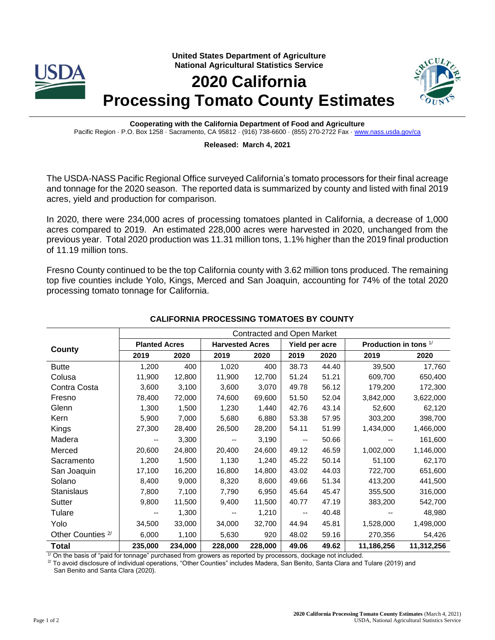



## **Released: March 4, 2021**

The USDA-NASS Pacific Regional Office surveyed California's tomato processors for their final acreage and tonnage for the 2020 season. The reported data is summarized by county and listed with final 2019 acres, yield and production for comparison.

In 2020, there were 234,000 acres of processing tomatoes planted in California, a decrease of 1,000 acres compared to 2019. An estimated 228,000 acres were harvested in 2020, unchanged from the previous year. Total 2020 production was 11.31 million tons, 1.1% higher than the 2019 final production of 11.19 million tons.

Fresno County continued to be the top California county with 3.62 million tons produced. The remaining top five counties include Yolo, Kings, Merced and San Joaquin, accounting for 74% of the total 2020 processing tomato tonnage for California.

|                              | <b>Contracted and Open Market</b> |         |                          |         |                          |       |                         |            |  |
|------------------------------|-----------------------------------|---------|--------------------------|---------|--------------------------|-------|-------------------------|------------|--|
| County                       | <b>Planted Acres</b>              |         | <b>Harvested Acres</b>   |         | Yield per acre           |       | Production in tons $1/$ |            |  |
|                              | 2019                              | 2020    | 2019                     | 2020    | 2019                     | 2020  | 2019                    | 2020       |  |
| <b>Butte</b>                 | 1,200                             | 400     | 1,020                    | 400     | 38.73                    | 44.40 | 39,500                  | 17,760     |  |
| Colusa                       | 11,900                            | 12,800  | 11,900                   | 12,700  | 51.24                    | 51.21 | 609,700                 | 650,400    |  |
| Contra Costa                 | 3,600                             | 3,100   | 3,600                    | 3,070   | 49.78                    | 56.12 | 179,200                 | 172,300    |  |
| Fresno                       | 78,400                            | 72,000  | 74,600                   | 69,600  | 51.50                    | 52.04 | 3,842,000               | 3,622,000  |  |
| Glenn                        | 1,300                             | 1,500   | 1,230                    | 1,440   | 42.76                    | 43.14 | 52,600                  | 62,120     |  |
| Kern                         | 5,900                             | 7,000   | 5,680                    | 6,880   | 53.38                    | 57.95 | 303,200                 | 398,700    |  |
| Kings                        | 27,300                            | 28,400  | 26,500                   | 28,200  | 54.11                    | 51.99 | 1,434,000               | 1,466,000  |  |
| Madera                       | --                                | 3,300   | $\overline{\phantom{a}}$ | 3,190   | $\overline{\phantom{a}}$ | 50.66 |                         | 161,600    |  |
| Merced                       | 20,600                            | 24,800  | 20,400                   | 24,600  | 49.12                    | 46.59 | 1,002,000               | 1,146,000  |  |
| Sacramento                   | 1,200                             | 1,500   | 1,130                    | 1,240   | 45.22                    | 50.14 | 51,100                  | 62,170     |  |
| San Joaquin                  | 17,100                            | 16,200  | 16,800                   | 14,800  | 43.02                    | 44.03 | 722,700                 | 651,600    |  |
| Solano                       | 8,400                             | 9,000   | 8,320                    | 8,600   | 49.66                    | 51.34 | 413,200                 | 441,500    |  |
| <b>Stanislaus</b>            | 7,800                             | 7,100   | 7,790                    | 6,950   | 45.64                    | 45.47 | 355,500                 | 316,000    |  |
| Sutter                       | 9,800                             | 11,500  | 9,400                    | 11,500  | 40.77                    | 47.19 | 383,200                 | 542,700    |  |
| Tulare                       | --                                | 1,300   | $\overline{\phantom{a}}$ | 1,210   | $\overline{\phantom{m}}$ | 40.48 | --                      | 48,980     |  |
| Yolo                         | 34,500                            | 33,000  | 34,000                   | 32,700  | 44.94                    | 45.81 | 1,528,000               | 1,498,000  |  |
| Other Counties <sup>2/</sup> | 6,000                             | 1,100   | 5,630                    | 920     | 48.02                    | 59.16 | 270,356                 | 54,426     |  |
| <b>Total</b>                 | 235,000                           | 234,000 | 228,000                  | 228,000 | 49.06                    | 49.62 | 11,186,256              | 11,312,256 |  |

## **CALIFORNIA PROCESSING TOMATOES BY COUNTY**

1/ On the basis of "paid for tonnage" purchased from growers as reported by processors, dockage not included.

 $2^{\prime}$  To avoid disclosure of individual operations, "Other Counties" includes Madera, San Benito, Santa Clara and Tulare (2019) and

San Benito and Santa Clara (2020).